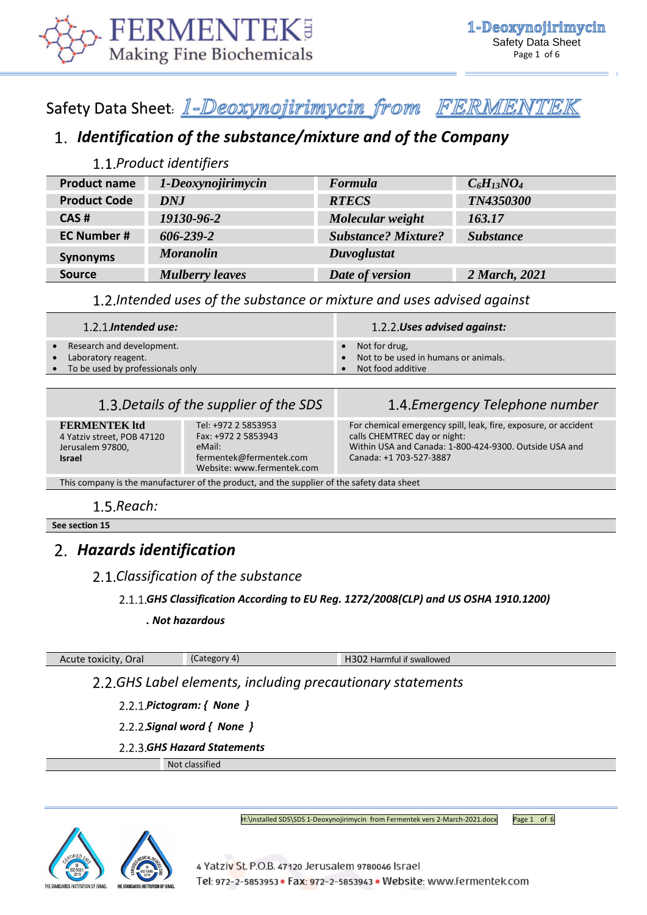

# Safety Data Sheet: 1-Deoxynojirimycin from FERMENTEK

# *Identification of the substance/mixture and of the Company*

### *Product identifiers*

| <b>Product name</b> | 1-Deoxynojirimycin     | Formula                    | $C_6H_{13}NO_4$  |
|---------------------|------------------------|----------------------------|------------------|
| <b>Product Code</b> | DNJ                    | <b>RTECS</b>               | TN4350300        |
| CAS#                | 19130-96-2             | Molecular weight           | 163.17           |
| <b>EC Number #</b>  | $606 - 239 - 2$        | <b>Substance? Mixture?</b> | <b>Substance</b> |
| <b>Synonyms</b>     | <b>Moranolin</b>       | Duvoglustat                |                  |
| <b>Source</b>       | <b>Mulberry leaves</b> | Date of version            | 2 March, 2021    |

*Intended uses of the substance or mixture and uses advised against*

| $1.2.1$ . Intended use:            | 1.2.2. Uses advised against:           |
|------------------------------------|----------------------------------------|
| Research and development.          | $\bullet$ Not for drug,                |
| Laboratory reagent.                | • Not to be used in humans or animals. |
| • To be used by professionals only | Not food additive                      |

## *Details of the supplier of the SDS Emergency Telephone number*

**FERMENTEK ltd** 4 Yatziv street, POB 47120 Jerusalem 97800, **Israel**  Tel: +972 2 5853953 Fax: +972 2 5853943 eMail: fermentek@fermentek.com Website[: www.fermentek.com](http://www.fermentek.com/) For chemical emergency spill, leak, fire, exposure, or accident calls CHEMTREC day or night: Within USA and Canada: 1-800-424-9300. Outside USA and Canada: +1 703-527-3887

This company is the manufacturer of the product, and the supplier of the safety data sheet

### 1.5. Reach:

**See section 15**

## *Hazards identification*

### *Classification of the substance*

### *GHS Classification According to EU Reg. 1272/2008(CLP) and US OSHA 1910.1200)*

#### *. Not hazardous*

### Acute toxicity, Oral (Category 4) Acute toxicity, Oral (Category 4) H302 Harmful if swallowed

### *GHS Label elements, including precautionary statements*

- *Pictogram: { None }*
- *Signal word { None }*
- *GHS Hazard Statements*

Not classified



H:\installed SDS\SDS 1-Deoxynojirimycin from Fermentek vers 2-March-2021.docx Page 1 of 6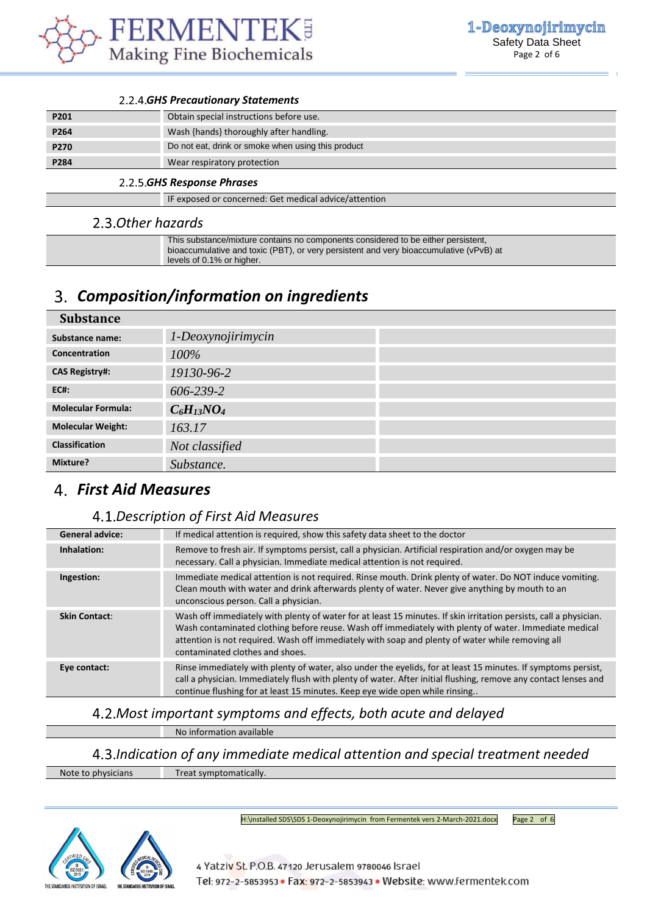

#### *GHS Precautionary Statements*

| P201 | Obtain special instructions before use.            |
|------|----------------------------------------------------|
| P264 | Wash {hands} thoroughly after handling.            |
| P270 | Do not eat, drink or smoke when using this product |
| P284 | Wear respiratory protection                        |

#### *GHS Response Phrases*

IF exposed or concerned: Get medical advice/attention

#### *Other hazards*

| This substance/mixture contains no components considered to be either persistent,                 |
|---------------------------------------------------------------------------------------------------|
| bioaccumulative and toxic (PBT), or very persistent and very bioaccumulative (vPvB) at $\sqrt{ }$ |
| levels of 0.1% or higher.                                                                         |
|                                                                                                   |

## *Composition/information on ingredients*

| <b>Substance</b>          |                    |
|---------------------------|--------------------|
| Substance name:           | 1-Deoxynojirimycin |
| Concentration             | 100%               |
| <b>CAS Registry#:</b>     | 19130-96-2         |
| <b>EC#:</b>               | 606-239-2          |
| <b>Molecular Formula:</b> | $C_6H_{13}NO_4$    |
| <b>Molecular Weight:</b>  | 163.17             |
| <b>Classification</b>     | Not classified     |
| Mixture?                  | Substance.         |

## *First Aid Measures*

### *Description of First Aid Measures*

| <b>General advice:</b> | If medical attention is required, show this safety data sheet to the doctor                                                                                                                                                                                                                                                                                       |
|------------------------|-------------------------------------------------------------------------------------------------------------------------------------------------------------------------------------------------------------------------------------------------------------------------------------------------------------------------------------------------------------------|
| Inhalation:            | Remove to fresh air. If symptoms persist, call a physician. Artificial respiration and/or oxygen may be<br>necessary. Call a physician. Immediate medical attention is not required.                                                                                                                                                                              |
| Ingestion:             | Immediate medical attention is not required. Rinse mouth. Drink plenty of water. Do NOT induce vomiting.<br>Clean mouth with water and drink afterwards plenty of water. Never give anything by mouth to an<br>unconscious person. Call a physician.                                                                                                              |
| <b>Skin Contact:</b>   | Wash off immediately with plenty of water for at least 15 minutes. If skin irritation persists, call a physician.<br>Wash contaminated clothing before reuse. Wash off immediately with plenty of water. Immediate medical<br>attention is not required. Wash off immediately with soap and plenty of water while removing all<br>contaminated clothes and shoes. |
| Eye contact:           | Rinse immediately with plenty of water, also under the eyelids, for at least 15 minutes. If symptoms persist,<br>call a physician. Immediately flush with plenty of water. After initial flushing, remove any contact lenses and<br>continue flushing for at least 15 minutes. Keep eye wide open while rinsing                                                   |
|                        |                                                                                                                                                                                                                                                                                                                                                                   |

### *Most important symptoms and effects, both acute and delayed*

No information available

*Indication of any immediate medical attention and special treatment needed* Note to physicians Treat symptomatically.



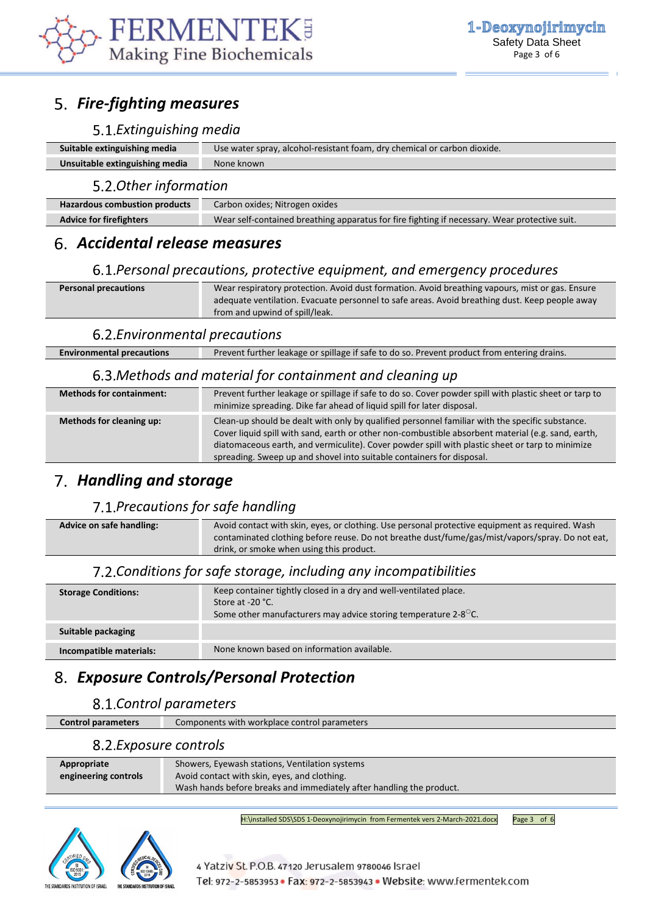

# *Fire-fighting measures*

### *Extinguishing media*

| Suitable extinguishing media   | Use water spray, alcohol-resistant foam, dry chemical or carbon dioxide. |
|--------------------------------|--------------------------------------------------------------------------|
| Unsuitable extinguishing media | None known                                                               |
|                                |                                                                          |

#### *Other information*

| <b>Hazardous combustion products</b> | Carbon oxides; Nitrogen oxides                                                                |
|--------------------------------------|-----------------------------------------------------------------------------------------------|
| <b>Advice for firefighters</b>       | Wear self-contained breathing apparatus for fire fighting if necessary. Wear protective suit. |

## *Accidental release measures*

### *Personal precautions, protective equipment, and emergency procedures*

| <b>Personal precautions</b> | Wear respiratory protection. Avoid dust formation. Avoid breathing vapours, mist or gas. Ensure |
|-----------------------------|-------------------------------------------------------------------------------------------------|
|                             | adequate ventilation. Evacuate personnel to safe areas. Avoid breathing dust. Keep people away  |
|                             | from and upwind of spill/leak.                                                                  |

### *Environmental precautions*

| <b>Environmental precautions</b> | Prevent further leakage or spillage if safe to do so. Prevent product from entering drains. |
|----------------------------------|---------------------------------------------------------------------------------------------|

### *Methods and material for containment and cleaning up*

| <b>Methods for containment:</b> | Prevent further leakage or spillage if safe to do so. Cover powder spill with plastic sheet or tarp to<br>minimize spreading. Dike far ahead of liquid spill for later disposal.                                                                                                                                                                                                  |
|---------------------------------|-----------------------------------------------------------------------------------------------------------------------------------------------------------------------------------------------------------------------------------------------------------------------------------------------------------------------------------------------------------------------------------|
| Methods for cleaning up:        | Clean-up should be dealt with only by qualified personnel familiar with the specific substance.<br>Cover liquid spill with sand, earth or other non-combustible absorbent material (e.g. sand, earth,<br>diatomaceous earth, and vermiculite). Cover powder spill with plastic sheet or tarp to minimize<br>spreading. Sweep up and shovel into suitable containers for disposal. |

## *Handling and storage*

## *Precautions for safe handling*

**Advice on safe handling:** Avoid contact with skin, eyes, or clothing. Use personal protective equipment as required. Wash contaminated clothing before reuse. Do not breathe dust/fume/gas/mist/vapors/spray. Do not eat, drink, or smoke when using this product.

### *Conditions for safe storage, including any incompatibilities*

| <b>Storage Conditions:</b> | Keep container tightly closed in a dry and well-ventilated place.<br>Store at -20 °C.<br>Some other manufacturers may advice storing temperature 2-8 $\mathrm{C}$ . |
|----------------------------|---------------------------------------------------------------------------------------------------------------------------------------------------------------------|
| Suitable packaging         |                                                                                                                                                                     |
| Incompatible materials:    | None known based on information available.                                                                                                                          |

# *Exposure Controls/Personal Protection*

### *Control parameters*

**Control parameters** Components with workplace control parameters

### *Exposure controls*

| Appropriate          | Showers, Eyewash stations, Ventilation systems                       |
|----------------------|----------------------------------------------------------------------|
| engineering controls | Avoid contact with skin, eyes, and clothing.                         |
|                      | Wash hands before breaks and immediately after handling the product. |

H:\installed SDS\SDS 1-Deoxynojirimycin from Fermentek vers 2-March-2021.docx Page 3 of 6

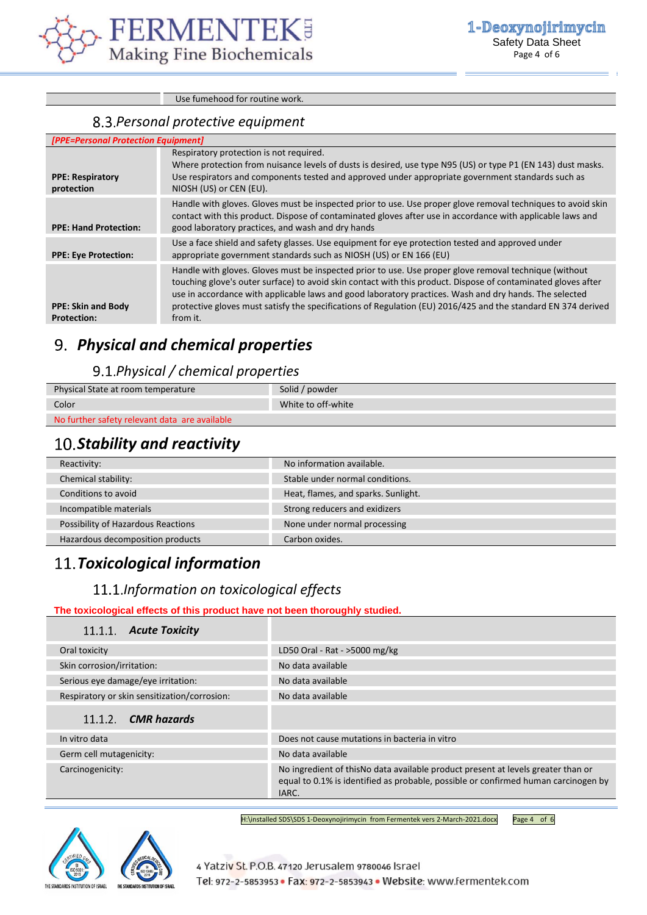

Use fumehood for routine work.

### *Personal protective equipment*

| [PPE=Personal Protection Equipment]             |                                                                                                                                                                                                                                                                                                                                                                                                                                                                |  |
|-------------------------------------------------|----------------------------------------------------------------------------------------------------------------------------------------------------------------------------------------------------------------------------------------------------------------------------------------------------------------------------------------------------------------------------------------------------------------------------------------------------------------|--|
|                                                 | Respiratory protection is not required.<br>Where protection from nuisance levels of dusts is desired, use type N95 (US) or type P1 (EN 143) dust masks.                                                                                                                                                                                                                                                                                                        |  |
| <b>PPE: Respiratory</b><br>protection           | Use respirators and components tested and approved under appropriate government standards such as<br>NIOSH (US) or CEN (EU).                                                                                                                                                                                                                                                                                                                                   |  |
| <b>PPE: Hand Protection:</b>                    | Handle with gloves. Gloves must be inspected prior to use. Use proper glove removal techniques to avoid skin<br>contact with this product. Dispose of contaminated gloves after use in accordance with applicable laws and<br>good laboratory practices, and wash and dry hands                                                                                                                                                                                |  |
| <b>PPE: Eye Protection:</b>                     | Use a face shield and safety glasses. Use equipment for eye protection tested and approved under<br>appropriate government standards such as NIOSH (US) or EN 166 (EU)                                                                                                                                                                                                                                                                                         |  |
| <b>PPE: Skin and Body</b><br><b>Protection:</b> | Handle with gloves. Gloves must be inspected prior to use. Use proper glove removal technique (without<br>touching glove's outer surface) to avoid skin contact with this product. Dispose of contaminated gloves after<br>use in accordance with applicable laws and good laboratory practices. Wash and dry hands. The selected<br>protective gloves must satisfy the specifications of Regulation (EU) 2016/425 and the standard EN 374 derived<br>from it. |  |

# *Physical and chemical properties*

## *Physical / chemical properties*

| Physical State at room temperature            | Solid / powder     |
|-----------------------------------------------|--------------------|
| Color                                         | White to off-white |
| No further safety relevant data are available |                    |

# 10. Stability and reactivity

| Reactivity:                        | No information available.           |
|------------------------------------|-------------------------------------|
| Chemical stability:                | Stable under normal conditions.     |
| Conditions to avoid                | Heat, flames, and sparks. Sunlight. |
| Incompatible materials             | Strong reducers and exidizers       |
| Possibility of Hazardous Reactions | None under normal processing        |
| Hazardous decomposition products   | Carbon oxides.                      |

# *Toxicological information*

### *Information on toxicological effects*

#### **The toxicological effects of this product have not been thoroughly studied.**

| 11.1.1. Acute Toxicity                       |                                                                                                                                                                                  |
|----------------------------------------------|----------------------------------------------------------------------------------------------------------------------------------------------------------------------------------|
| Oral toxicity                                | LD50 Oral - Rat - >5000 mg/kg                                                                                                                                                    |
| Skin corrosion/irritation:                   | No data available                                                                                                                                                                |
| Serious eye damage/eye irritation:           | No data available                                                                                                                                                                |
| Respiratory or skin sensitization/corrosion: | No data available                                                                                                                                                                |
| $11.1.2$ . CMR hazards                       |                                                                                                                                                                                  |
| In vitro data                                | Does not cause mutations in bacteria in vitro                                                                                                                                    |
| Germ cell mutagenicity:                      | No data available                                                                                                                                                                |
| Carcinogenicity:                             | No ingredient of this No data available product present at levels greater than or<br>equal to 0.1% is identified as probable, possible or confirmed human carcinogen by<br>IARC. |

H:\installed SDS\SDS 1-Deoxynojirimycin from Fermentek vers 2-March-2021.docx Page 4 of 6

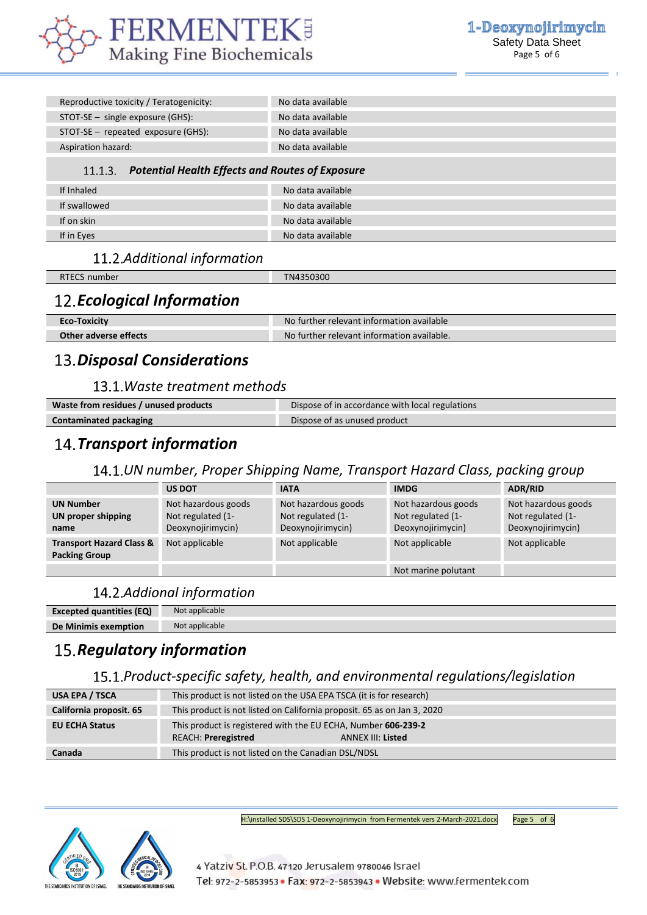

| Reproductive toxicity / Teratogenicity:                 | No data available |
|---------------------------------------------------------|-------------------|
| $STOT-SE$ – single exposure (GHS):                      | No data available |
| $STOT-SE$ – repeated exposure (GHS):                    | No data available |
| Aspiration hazard:                                      | No data available |
| 11.1.3. Potential Health Effects and Routes of Exposure |                   |
| If Inhaled                                              | No data available |
| If swallowed                                            | No data available |
| If on skin                                              | No data available |
| If in Eyes                                              | No data available |

## *Additional information*

| RTECS number                      | TN4350300 |
|-----------------------------------|-----------|
| <b>12. Ecological Information</b> |           |

| <b>Eco-Toxicity</b>   | er relevant information available<br>NO.<br>turther. |
|-----------------------|------------------------------------------------------|
| Other adverse effects | No further relevant information available.           |

# *Disposal Considerations*

### *Waste treatment methods*

| Waste from residues / unused products | Dispose of in accordance with local regulations |
|---------------------------------------|-------------------------------------------------|
| Contaminated packaging                | Dispose of as unused product                    |

# *Transport information*

### *UN number, Proper Shipping Name, Transport Hazard Class, packing group*

|                                                             | <b>US DOT</b>                                                 | <b>IATA</b>                                                   | <b>IMDG</b>                                                   | <b>ADR/RID</b>                                                |
|-------------------------------------------------------------|---------------------------------------------------------------|---------------------------------------------------------------|---------------------------------------------------------------|---------------------------------------------------------------|
| <b>UN Number</b><br>UN proper shipping<br>name              | Not hazardous goods<br>Not regulated (1-<br>Deoxynojirimycin) | Not hazardous goods<br>Not regulated (1-<br>Deoxynojirimycin) | Not hazardous goods<br>Not regulated (1-<br>Deoxynojirimycin) | Not hazardous goods<br>Not regulated (1-<br>Deoxynojirimycin) |
| <b>Transport Hazard Class &amp;</b><br><b>Packing Group</b> | Not applicable                                                | Not applicable                                                | Not applicable                                                | Not applicable                                                |
|                                                             |                                                               |                                                               | Not marine polutant                                           |                                                               |

## *Addional information*

| <b>Excepted quantities (EQ)</b> | Not applicable |
|---------------------------------|----------------|
| De Minimis exemption            | Not applicable |
|                                 |                |

# 15. Regulatory information

## *Product-specific safety, health, and environmental regulations/legislation*

| USA EPA / TSCA          | This product is not listed on the USA EPA TSCA (it is for research)                                                     |  |
|-------------------------|-------------------------------------------------------------------------------------------------------------------------|--|
| California proposit. 65 | This product is not listed on California proposit. 65 as on Jan 3, 2020                                                 |  |
| <b>EU ECHA Status</b>   | This product is registered with the EU ECHA, Number 606-239-2<br><b>REACH: Preregistred</b><br><b>ANNEX III: Listed</b> |  |
| Canada                  | This product is not listed on the Canadian DSL/NDSL                                                                     |  |

H:\installed SDS\SDS 1-Deoxynojirimycin from Fermentek vers 2-March-2021.docx Page 5 of 6